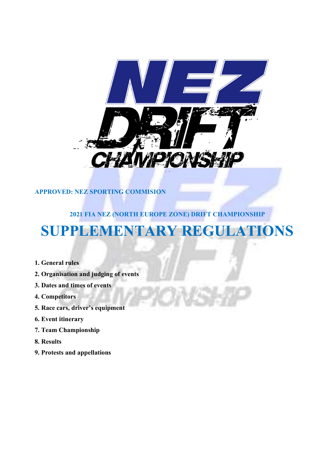

# APPROVED: NEZ SPORTING COMMISION

# 2021 FIA NEZ (NORTH EUROPE ZONE) DRIFT CHAMPIONSHIP SUPPLEMENTARY REGULATIONS

- 1. General rules
- 2. Organisation and judging of events
- 3. Dates and times of events
- 4. Competitors
- 5. Race cars, driver's equipment
- 6. Event itinerary
- 7. Team Championship
- 8. Results
- 9. Protests and appellations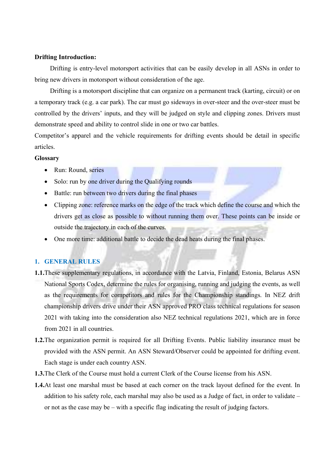#### Drifting Introduction:

Drifting is entry-level motorsport activities that can be easily develop in all ASNs in order to bring new drivers in motorsport without consideration of the age.

Drifting is a motorsport discipline that can organize on a permanent track (karting, circuit) or on a temporary track (e.g. a car park). The car must go sideways in over-steer and the over-steer must be controlled by the drivers' inputs, and they will be judged on style and clipping zones. Drivers must demonstrate speed and ability to control slide in one or two car battles.

Competitor's apparel and the vehicle requirements for drifting events should be detail in specific articles.

### Glossary

- Run: Round, series
- Solo: run by one driver during the Qualifying rounds
- Battle: run between two drivers during the final phases
- Clipping zone: reference marks on the edge of the track which define the course and which the drivers get as close as possible to without running them over. These points can be inside or outside the trajectory in each of the curves.
- One more time: additional battle to decide the dead heats during the final phases.

## 1. GENERAL RULES

- 1.1.These supplementary regulations, in accordance with the Latvia, Finland, Estonia, Belarus ASN National Sports Codex, determine the rules for organising, running and judging the events, as well as the requirements for competitors and rules for the Championship standings. In NEZ drift championship drivers drive under their ASN approved PRO class technical regulations for season 2021 with taking into the consideration also NEZ technical regulations 2021, which are in force from 2021 in all countries.
- 1.2.The organization permit is required for all Drifting Events. Public liability insurance must be provided with the ASN permit. An ASN Steward/Observer could be appointed for drifting event. Each stage is under each country ASN.
- 1.3.The Clerk of the Course must hold a current Clerk of the Course license from his ASN.
- 1.4.At least one marshal must be based at each corner on the track layout defined for the event. In addition to his safety role, each marshal may also be used as a Judge of fact, in order to validate – or not as the case may be – with a specific flag indicating the result of judging factors.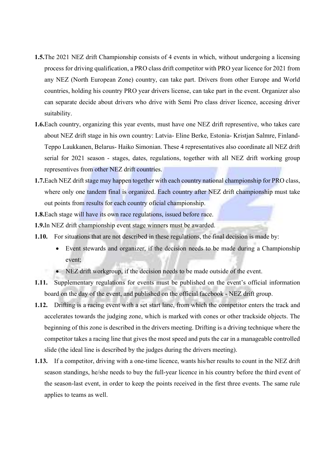- 1.5.The 2021 NEZ drift Championship consists of 4 events in which, without undergoing a licensing process for driving qualification, a PRO class drift competitor with PRO year licence for 2021 from any NEZ (North European Zone) country, can take part. Drivers from other Europe and World countries, holding his country PRO year drivers license, can take part in the event. Organizer also can separate decide about drivers who drive with Semi Pro class driver licence, accesing driver suitability.
- 1.6.Each country, organizing this year events, must have one NEZ drift representive, who takes care about NEZ drift stage in his own country: Latvia- Eline Berke, Estonia- Kristjan Salmre, Finland-Teppo Laukkanen, Belarus- Haiko Simonian. These 4 representatives also coordinate all NEZ drift serial for 2021 season - stages, dates, regulations, together with all NEZ drift working group representives from other NEZ drift countries.
- 1.7. Each NEZ drift stage may happen together with each country national championship for PRO class, where only one tandem final is organized. Each country after NEZ drift championship must take out points from results for each country oficial championship.
- 1.8. Each stage will have its own race regulations, issued before race.
- 1.9.In NEZ drift championship event stage winners must be awarded.
- 1.10. For situations that are not described in these regulations, the final decision is made by:
	- Event stewards and organizer, if the decision needs to be made during a Championship event;
	- NEZ drift workgroup, if the decision needs to be made outside of the event.
- 1.11. Supplementary regulations for events must be published on the event's official information board on the day of the event, and published on the official facebook - NEZ drift group.
- 1.12. Drifting is a racing event with a set start lane, from which the competitor enters the track and accelerates towards the judging zone, which is marked with cones or other trackside objects. The beginning of this zone is described in the drivers meeting. Drifting is a driving technique where the competitor takes a racing line that gives the most speed and puts the car in a manageable controlled slide (the ideal line is described by the judges during the drivers meeting).
- 1.13. If a competitor, driving with a one-time licence, wants his/her results to count in the NEZ drift season standings, he/she needs to buy the full-year licence in his country before the third event of the season-last event, in order to keep the points received in the first three events. The same rule applies to teams as well.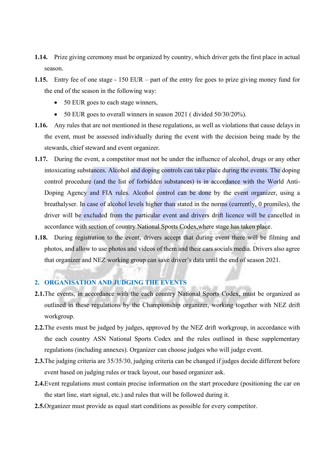- 1.14. Prize giving ceremony must be organized by country, which driver gets the first place in actual season.
- 1.15. Entry fee of one stage 150 EUR part of the entry fee goes to prize giving money fund for the end of the season in the following way:
	- 50 EUR goes to each stage winners,
	- 50 EUR goes to overall winners in season 2021 (divided 50/30/20%).
- 1.16. Any rules that are not mentioned in these regulations, as well as violations that cause delays in the event, must be assessed individually during the event with the decision being made by the stewards, chief steward and event organizer.
- 1.17. During the event, a competitor must not be under the influence of alcohol, drugs or any other intoxicating substances. Alcohol and doping controls can take place during the events. The doping control procedure (and the list of forbidden substances) is in accordance with the World Anti-Doping Agency and FIA rules. Alcohol control can be done by the event organizer, using a breathalyser. In case of alcohol levels higher than stated in the norms (currently, 0 promiles), the driver will be excluded from the particular event and drivers drift licence will be cancelled in accordance with section of country National Sports Codex,where stage has taken place.
- 1.18. During registration to the event, drivers accept that during event there will be filming and photos, and allow to use photos and videos of them and their cars socials media. Drivers also agree that organizer and NEZ working group can save driver's data until the end of season 2021.

## 2. ORGANISATION AND JUDGING THE EVENTS

- 2.1.The events, in accordance with the each country National Sports Codex, must be organized as outlined in these regulations by the Championship organizer, working together with NEZ drift workgroup.
- 2.2. The events must be judged by judges, approved by the NEZ drift workgroup, in accordance with the each country ASN National Sports Codex and the rules outlined in these supplementary regulations (including annexes). Organizer can choose judges who will judge event.
- 2.3.The judging criteria are 35/35/30, judging criteria can be changed if judges decide different before event based on judging rules or track layout, our based organizer ask.
- 2.4.Event regulations must contain precise information on the start procedure (positioning the car on the start line, start signal, etc.) and rules that will be followed during it.
- 2.5.Organizer must provide as equal start conditions as possible for every competitor.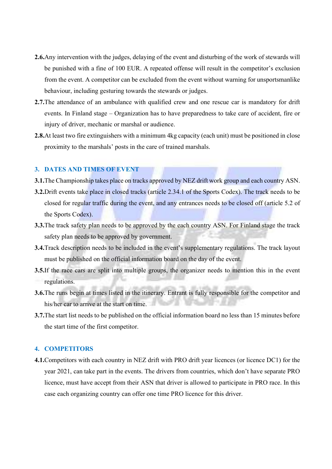- 2.6.Any intervention with the judges, delaying of the event and disturbing of the work of stewards will be punished with a fine of 100 EUR. A repeated offense will result in the competitor's exclusion from the event. A competitor can be excluded from the event without warning for unsportsmanlike behaviour, including gesturing towards the stewards or judges.
- 2.7. The attendance of an ambulance with qualified crew and one rescue car is mandatory for drift events. In Finland stage – Organization has to have preparedness to take care of accident, fire or injury of driver, mechanic or marshal or audience.
- 2.8.At least two fire extinguishers with a minimum 4kg capacity (each unit) must be positioned in close proximity to the marshals' posts in the care of trained marshals.

## 3. DATES AND TIMES OF EVENT

- 3.1. The Championship takes place on tracks approved by NEZ drift work group and each country ASN.
- 3.2.Drift events take place in closed tracks (article 2.34.1 of the Sports Codex). The track needs to be closed for regular traffic during the event, and any entrances needs to be closed off (article 5.2 of the Sports Codex).
- 3.3.The track safety plan needs to be approved by the each country ASN. For Finland stage the track safety plan needs to be approved by government.
- 3.4.Track description needs to be included in the event's supplementary regulations. The track layout must be published on the official information board on the day of the event.
- 3.5.If the race cars are split into multiple groups, the organizer needs to mention this in the event regulations.
- 3.6.The runs begin at times listed in the itinerary. Entrant is fully responsible for the competitor and his/her car to arrive at the start on time.
- 3.7.The start list needs to be published on the official information board no less than 15 minutes before the start time of the first competitor.

### 4. COMPETITORS

4.1.Competitors with each country in NEZ drift with PRO drift year licences (or licence DC1) for the year 2021, can take part in the events. The drivers from countries, which don't have separate PRO licence, must have accept from their ASN that driver is allowed to participate in PRO race. In this case each organizing country can offer one time PRO licence for this driver.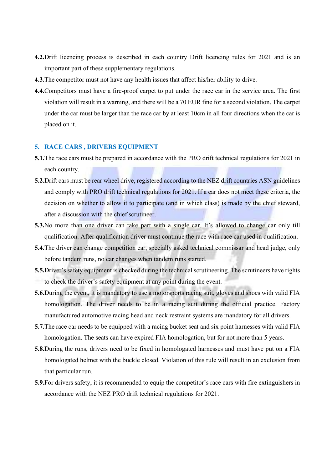- 4.2.Drift licencing process is described in each country Drift licencing rules for 2021 and is an important part of these supplementary regulations.
- 4.3.The competitor must not have any health issues that affect his/her ability to drive.
- 4.4.Competitors must have a fire-proof carpet to put under the race car in the service area. The first violation will result in a warning, and there will be a 70 EUR fine for a second violation. The carpet under the car must be larger than the race car by at least 10cm in all four directions when the car is placed on it.

#### 5. RACE CARS , DRIVERS EQUIPMENT

- 5.1.The race cars must be prepared in accordance with the PRO drift technical regulations for 2021 in each country.
- 5.2.Drift cars must be rear wheel drive, registered according to the NEZ drift countries ASN guidelines and comply with PRO drift technical regulations for 2021. If a car does not meet these criteria, the decision on whether to allow it to participate (and in which class) is made by the chief steward, after a discussion with the chief scrutineer.
- 5.3.No more than one driver can take part with a single car. It's allowed to change car only till qualification. After qualification driver must continue the race with race car used in qualification.
- 5.4.The driver can change competition car, specially asked technical commissar and head judge, only before tandem runs, no car changes when tandem runs started.
- 5.5.Driver's safety equipment is checked during the technical scrutineering. The scrutineers have rights to check the driver's safety equipment at any point during the event.
- 5.6.During the event, it is mandatory to use a motorsports racing suit, gloves and shoes with valid FIA homologation. The driver needs to be in a racing suit during the official practice. Factory manufactured automotive racing head and neck restraint systems are mandatory for all drivers.
- 5.7.The race car needs to be equipped with a racing bucket seat and six point harnesses with valid FIA homologation. The seats can have expired FIA homologation, but for not more than 5 years.
- 5.8.During the runs, drivers need to be fixed in homologated harnesses and must have put on a FIA homologated helmet with the buckle closed. Violation of this rule will result in an exclusion from that particular run.
- 5.9.For drivers safety, it is recommended to equip the competitor's race cars with fire extinguishers in accordance with the NEZ PRO drift technical regulations for 2021.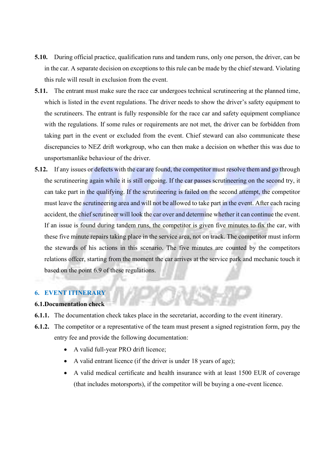- 5.10. During official practice, qualification runs and tandem runs, only one person, the driver, can be in the car. A separate decision on exceptions to this rule can be made by the chief steward. Violating this rule will result in exclusion from the event.
- 5.11. The entrant must make sure the race car undergoes technical scrutineering at the planned time, which is listed in the event regulations. The driver needs to show the driver's safety equipment to the scrutineers. The entrant is fully responsible for the race car and safety equipment compliance with the regulations. If some rules or requirements are not met, the driver can be forbidden from taking part in the event or excluded from the event. Chief steward can also communicate these discrepancies to NEZ drift workgroup, who can then make a decision on whether this was due to unsportsmanlike behaviour of the driver.
- 5.12. If any issues or defects with the car are found, the competitor must resolve them and go through the scrutineering again while it is still ongoing. If the car passes scrutineering on the second try, it can take part in the qualifying. If the scrutineering is failed on the second attempt, the competitor must leave the scrutineering area and will not be allowed to take part in the event. After each racing accident, the chief scrutineer will look the car over and determine whether it can continue the event. If an issue is found during tandem runs, the competitor is given five minutes to fix the car, with these five minute repairs taking place in the service area, not on track. The competitor must inform the stewards of his actions in this scenario. The five minutes are counted by the competitors relations offcer, starting from the moment the car arrives at the service park and mechanic touch it based on the point 6.9 of these regulations.

# 6. EVENT ITINERARY

## 6.1.Documentation check

- 6.1.1. The documentation check takes place in the secretariat, according to the event itinerary.
- 6.1.2. The competitor or a representative of the team must present a signed registration form, pay the entry fee and provide the following documentation:
	- A valid full-year PRO drift licence;
	- A valid entrant licence (if the driver is under 18 years of age);
	- A valid medical certificate and health insurance with at least 1500 EUR of coverage (that includes motorsports), if the competitor will be buying a one-event licence.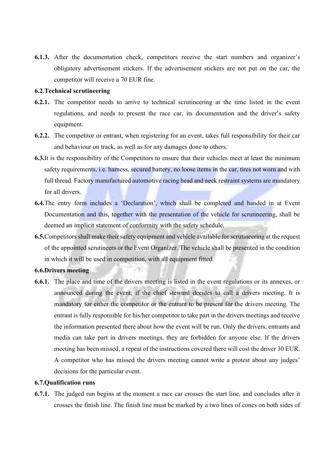6.1.3. After the documentation check, competitors receive the start numbers and organizer's obligatory advertisement stickers. If the advertisement stickers are not put on the car, the competitor will receive a 70 EUR fine.

### 6.2.Technical scrutineering

- 6.2.1. The competitor needs to arrive to technical scrutineering at the time listed in the event regulations, and needs to present the race car, its documentation and the driver's safety equipment.
- 6.2.2. The competitor or entrant, when registering for an event, takes full responsibility for their car and behaviour on track, as well as for any damages done to others.
- 6.3.It is the responsibility of the Competitors to ensure that their vehicles meet at least the minimum safety requirements, i.e. harness, secured battery, no loose items in the car, tires not worn and with full thread. Factory manufactured automotive racing head and neck restraint systems are mandatory for all drivers.
- 6.4.The entry form includes a 'Declaration', which shall be completed and handed in at Event Documentation and this, together with the presentation of the vehicle for scrutineering, shall be deemed an implicit statement of conformity with the safety schedule.
- 6.5.Competitors shall make their safety equipment and vehicle available for scrutineering at the request of the appointed scrutineers or the Event Organizer. The vehicle shall be presented in the condition in which it will be used in competition, with all equipment fitted.

#### 6.6.Drivers meeting

6.6.1. The place and time of the drivers meeting is listed in the event regulations or its annexes, or announced during the event, if the chief steward decides to call a drivers meeting. It is mandatory for either the competitor or the entrant to be present for the drivers meeting. The entrant is fully responsible for his/her competitor to take part in the drivers meetings and receive the information presented there about how the event will be run. Only the drivers, entrants and media can take part in drivers meetings, they are forbidden for anyone else. If the drivers meeting has been missed, a repeat of the instructions covered there will cost the driver 30 EUR. A competitor who has missed the drivers meeting cannot write a protest about any judges' decisions for the particular event.

#### 6.7.Qualification runs

6.7.1. The judged run begins at the moment a race car crosses the start line, and concludes after it crosses the finish line. The finish line must be marked by a two lines of cones on both sides of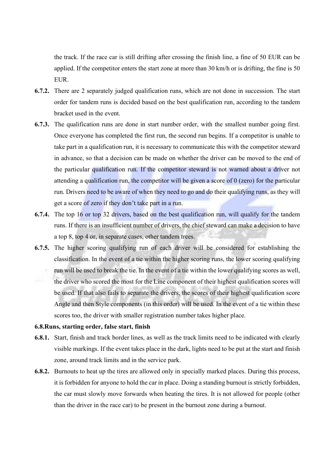the track. If the race car is still drifting after crossing the finish line, a fine of 50 EUR can be applied. If the competitor enters the start zone at more than 30 km/h or is drifting, the fine is 50 EUR.

- 6.7.2. There are 2 separately judged qualification runs, which are not done in succession. The start order for tandem runs is decided based on the best qualification run, according to the tandem bracket used in the event.
- 6.7.3. The qualification runs are done in start number order, with the smallest number going first. Once everyone has completed the first run, the second run begins. If a competitor is unable to take part in a qualification run, it is necessary to communicate this with the competitor steward in advance, so that a decision can be made on whether the driver can be moved to the end of the particular qualification run. If the competitor steward is not warned about a driver not attending a qualification run, the competitor will be given a score of 0 (zero) for the particular run. Drivers need to be aware of when they need to go and do their qualifying runs, as they will get a score of zero if they don't take part in a run.
- 6.7.4. The top 16 or top 32 drivers, based on the best qualification run, will qualify for the tandem runs. If there is an insufficient number of drivers, the chief steward can make a decision to have a top 8, top 4 or, in separate cases, other tandem trees.
- 6.7.5. The higher scoring qualifying run of each driver will be considered for establishing the classification. In the event of a tie within the higher scoring runs, the lower scoring qualifying run will be used to break the tie. In the event of a tie within the lower qualifying scores as well, the driver who scored the most for the Line component of their highest qualification scores will be used. If that also fails to separate the drivers, the scores of their highest qualification score Angle and then Style components (in this order) will be used. In the event of a tie within these scores too, the driver with smaller registration number takes higher place.

#### 6.8.Runs, starting order, false start, finish

- 6.8.1. Start, finish and track border lines, as well as the track limits need to be indicated with clearly visible markings. If the event takes place in the dark, lights need to be put at the start and finish zone, around track limits and in the service park.
- 6.8.2. Burnouts to heat up the tires are allowed only in specially marked places. During this process, it is forbidden for anyone to hold the car in place. Doing a standing burnout is strictly forbidden, the car must slowly move forwards when heating the tires. It is not allowed for people (other than the driver in the race car) to be present in the burnout zone during a burnout.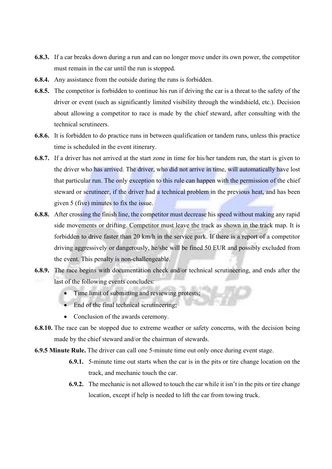- 6.8.3. If a car breaks down during a run and can no longer move under its own power, the competitor must remain in the car until the run is stopped.
- 6.8.4. Any assistance from the outside during the runs is forbidden.
- 6.8.5. The competitor is forbidden to continue his run if driving the car is a threat to the safety of the driver or event (such as significantly limited visibility through the windshield, etc.). Decision about allowing a competitor to race is made by the chief steward, after consulting with the technical scrutineers.
- 6.8.6. It is forbidden to do practice runs in between qualification or tandem runs, unless this practice time is scheduled in the event itinerary.
- 6.8.7. If a driver has not arrived at the start zone in time for his/her tandem run, the start is given to the driver who has arrived. The driver, who did not arrive in time, will automatically have lost that particular run. The only exception to this rule can happen with the permission of the chief steward or scrutineer, if the driver had a technical problem in the previous heat, and has been given 5 (five) minutes to fix the issue.
- 6.8.8. After crossing the finish line, the competitor must decrease his speed without making any rapid side movements or drifting. Competitor must leave the track as shown in the track map. It is forbidden to drive faster than 20 km/h in the service park. If there is a report of a competitor driving aggressively or dangerously, he/she will be fined 50 EUR and possibly excluded from the event. This penalty is non-challengeable.
- 6.8.9. The race begins with documentation check and/or technical scrutineering, and ends after the last of the following events concludes:
	- Time limit of submitting and reviewing protests;
	- End of the final technical scrutineering:
	- Conclusion of the awards ceremony.
- 6.8.10. The race can be stopped due to extreme weather or safety concerns, with the decision being made by the chief steward and/or the chairman of stewards.
- 6.9.5 Minute Rule. The driver can call one 5-minute time out only once during event stage.
	- 6.9.1. 5-minute time out starts when the car is in the pits or tire change location on the track, and mechanic touch the car.
	- 6.9.2. The mechanic is not allowed to touch the car while it isn't in the pits or tire change location, except if help is needed to lift the car from towing truck.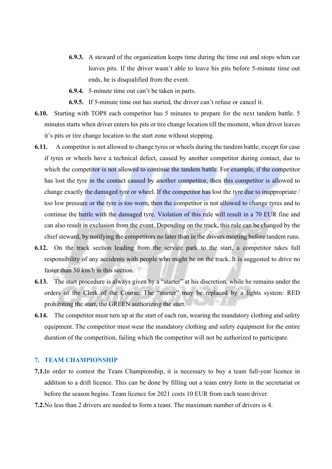- 6.9.3. A steward of the organization keeps time during the time out and stops when car leaves pits. If the driver wasn't able to leave his pits before 5-minute time out ends, he is disqualified from the event.
- 6.9.4. 5-minute time out can't be taken in parts.
- 6.9.5. If 5-minute time out has started, the driver can't refuse or cancel it.
- 6.10. Starting with TOP8 each competitor has 5 minutes to prepare for the next tandem battle. 5 minutes starts when driver enters his pits or tire change location till the moment, when driver leaves it's pits or tire change location to the start zone without stopping.
- 6.11. A competitor is not allowed to change tyres or wheels during the tandem battle, except for case if tyres or wheels have a technical defect, caused by another competitor during contact, due to which the competitor is not allowed to continue the tandem battle. For example, if the competitor has lost the tyre in the contact caused by another competitor, then this competitor is allowed to change exactly the damaged tyre or wheel. If the competitor has lost the tyre due to inappropriate / too low pressure or the tyre is too worn, then the competitor is not allowed to change tyres and to continue the battle with the damaged tyre. Violation of this rule will result in a 70 EUR fine and can also result in exclusion from the event. Depending on the track, this rule can be changed by the chief steward, by notifying the competitors no later than in the drivers meeting before tandem runs.
- 6.12. On the track section leading from the service park to the start, a competitor takes full responsibility of any accidents with people who might be on the track. It is suggested to drive no faster than 50 km/h in this section.
- 6.13. The start procedure is always given by a "starter" at his discretion, while he remains under the orders of the Clerk of the Course. The "starter" may be replaced by a lights system: RED prohibiting the start, the GREEN authorizing the start.
- 6.14. The competitor must turn up at the start of each run, wearing the mandatory clothing and safety equipment. The competitor must wear the mandatory clothing and safety equipment for the entire duration of the competition, failing which the competitor will not be authorized to participate.

## 7. TEAM CHAMPIONSHIP

- 7.1.In order to contest the Team Championship, it is necessary to buy a team full-year licence in addition to a drift licence. This can be done by filling out a team entry form in the secretariat or before the season begins. Team licence for 2021 costs 10 EUR from each team driver.
- 7.2.No less than 2 drivers are needed to form a team. The maximum number of drivers is 4.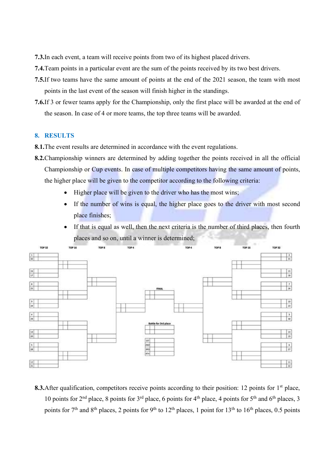- 7.3.In each event, a team will receive points from two of its highest placed drivers.
- 7.4.Team points in a particular event are the sum of the points received by its two best drivers.
- 7.5.If two teams have the same amount of points at the end of the 2021 season, the team with most points in the last event of the season will finish higher in the standings.
- 7.6.If 3 or fewer teams apply for the Championship, only the first place will be awarded at the end of the season. In case of 4 or more teams, the top three teams will be awarded.

#### 8. RESULTS

- 8.1.The event results are determined in accordance with the event regulations.
- 8.2.Championship winners are determined by adding together the points received in all the official Championship or Cup events. In case of multiple competitors having the same amount of points, the higher place will be given to the competitor according to the following criteria:
	- $\bullet$  Higher place will be given to the driver who has the most wins;
	- If the number of wins is equal, the higher place goes to the driver with most second place finishes;
	- If that is equal as well, then the next criteria is the number of third places, then fourth places and so on, until a winner is determined;



8.3. After qualification, competitors receive points according to their position: 12 points for  $1<sup>st</sup>$  place, 10 points for 2<sup>nd</sup> place, 8 points for 3<sup>rd</sup> place, 6 points for 4<sup>th</sup> place, 4 points for 5<sup>th</sup> and 6<sup>th</sup> places, 3 points for  $7<sup>th</sup>$  and  $8<sup>th</sup>$  places, 2 points for 9<sup>th</sup> to 12<sup>th</sup> places, 1 point for 13<sup>th</sup> to 16<sup>th</sup> places, 0.5 points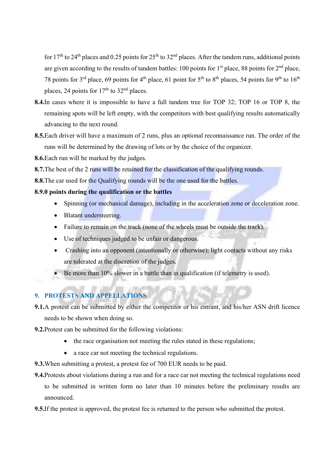for  $17<sup>th</sup>$  to  $24<sup>th</sup>$  places and 0.25 points for  $25<sup>th</sup>$  to  $32<sup>nd</sup>$  places. After the tandem runs, additional points are given according to the results of tandem battles: 100 points for  $1<sup>st</sup>$  place, 88 points for  $2<sup>nd</sup>$  place, 78 points for 3<sup>rd</sup> place, 69 points for 4<sup>th</sup> place, 61 point for 5<sup>th</sup> to 8<sup>th</sup> places, 54 points for 9<sup>th</sup> to 16<sup>th</sup> places, 24 points for 17<sup>th</sup> to 32<sup>nd</sup> places.

- 8.4.In cases where it is impossible to have a full tandem tree for TOP 32; TOP 16 or TOP 8, the remaining spots will be left empty, with the competitors with best qualifying results automatically advancing to the next round.
- 8.5.Each driver will have a maximum of 2 runs, plus an optional reconnaissance run. The order of the runs will be determined by the drawing of lots or by the choice of the organizer.
- 8.6.Each run will be marked by the judges.
- 8.7. The best of the 2 runs will be retained for the classification of the qualifying rounds.
- 8.8. The car used for the Qualifying rounds will be the one used for the battles.

## 8.9.0 points during the qualification or the battles

- Spinning (or mechanical damage), including in the acceleration zone or deceleration zone.
- Blatant understeering.
- Failure to remain on the track (none of the wheels must be outside the track).
- Use of techniques judged to be unfair or dangerous.
- Crashing into an opponent (intentionally or otherwise); light contacts without any risks are tolerated at the discretion of the judges.
- Be more than 10% slower in a battle than in qualification (if telemetry is used).

# 9. PROTESTS AND APPELLATIONS

- 9.1.A protest can be submitted by either the competitor or his entrant, and his/her ASN drift licence needs to be shown when doing so.
- 9.2.Protest can be submitted for the following violations:
	- the race organisation not meeting the rules stated in these regulations;
	- a race car not meeting the technical regulations.
- 9.3.When submitting a protest, a protest fee of 700 EUR needs to be paid.
- 9.4.Protests about violations during a run and for a race car not meeting the technical regulations need to be submitted in written form no later than 10 minutes before the preliminary results are announced.
- 9.5.If the protest is approved, the protest fee is returned to the person who submitted the protest.